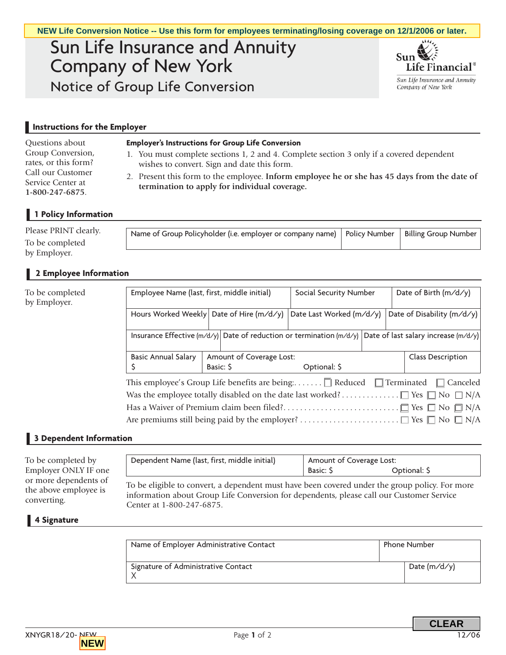# Sun Life Insurance and Annuity Company of New York Notice of Group Life Conversion



## **Instructions for the Employer**

#### **Employer's Instructions for Group Life Conversion**

- 1. You must complete sections 1, 2 and 4. Complete section 3 only if a covered dependent wishes to convert. Sign and date this form.
- 2. Present this form to the employee. **Inform employee he or she has 45 days from the date of termination to apply for individual coverage.**

# **1 Policy Information**

| Name of Group Policyholder (i.e. employer or company name)   Policy Number   Billing Group Number |
|---------------------------------------------------------------------------------------------------|
|---------------------------------------------------------------------------------------------------|

## **2 Employee Information**

|                                                                                                                           |                                                                                                                                                                                                                                                                                                                                                      | NEW Life Conversion Notice -- Use this form for employees terminating/losing coverage on 12/1/2006 or later. |                          |                          |                                                       |  |
|---------------------------------------------------------------------------------------------------------------------------|------------------------------------------------------------------------------------------------------------------------------------------------------------------------------------------------------------------------------------------------------------------------------------------------------------------------------------------------------|--------------------------------------------------------------------------------------------------------------|--------------------------|--------------------------|-------------------------------------------------------|--|
|                                                                                                                           | Sun Life Insurance and Annuity<br><b>Company of New York</b>                                                                                                                                                                                                                                                                                         |                                                                                                              |                          |                          | Sun<br>Life Financial <sup>®</sup>                    |  |
|                                                                                                                           | Notice of Group Life Conversion                                                                                                                                                                                                                                                                                                                      |                                                                                                              |                          |                          | Sun Life Insurance and Annuity<br>Company of New York |  |
|                                                                                                                           |                                                                                                                                                                                                                                                                                                                                                      |                                                                                                              |                          |                          |                                                       |  |
| Instructions for the Employer                                                                                             |                                                                                                                                                                                                                                                                                                                                                      |                                                                                                              |                          |                          |                                                       |  |
| Questions about<br>Group Conversion,<br>rates, or this form?<br>Call our Customer<br>Service Center at<br>1-800-247-6875. | <b>Employer's Instructions for Group Life Conversion</b><br>1. You must complete sections 1, 2 and 4. Complete section 3 only if a covered dependent<br>wishes to convert. Sign and date this form.<br>2. Present this form to the employee. Inform employee he or she has 45 days from the date of<br>termination to apply for individual coverage. |                                                                                                              |                          |                          |                                                       |  |
| 1 Policy Information                                                                                                      |                                                                                                                                                                                                                                                                                                                                                      |                                                                                                              |                          |                          |                                                       |  |
| Please PRINT clearly.<br>To be completed<br>by Employer.                                                                  |                                                                                                                                                                                                                                                                                                                                                      | Name of Group Policyholder (i.e. employer or company name)                                                   |                          | <b>Policy Number</b>     | <b>Billing Group Number</b>                           |  |
| 2 Employee Information                                                                                                    |                                                                                                                                                                                                                                                                                                                                                      |                                                                                                              |                          |                          |                                                       |  |
| To be completed<br>by Employer.                                                                                           | Employee Name (last, first, middle initial)<br>Social Security Number                                                                                                                                                                                                                                                                                |                                                                                                              |                          |                          | Date of Birth (m/d/y)                                 |  |
|                                                                                                                           |                                                                                                                                                                                                                                                                                                                                                      | Hours Worked Weekly Date of Hire (m/d/y)                                                                     | Date Last Worked (m/d/y) |                          | Date of Disability (m/d/y)                            |  |
|                                                                                                                           | Insurance Effective (m/d/y) Date of reduction or termination (m/d/y) Date of last salary increase (m/d/y)                                                                                                                                                                                                                                            |                                                                                                              |                          |                          |                                                       |  |
|                                                                                                                           | <b>Basic Annual Salary</b><br>\$                                                                                                                                                                                                                                                                                                                     | Amount of Coverage Lost:<br>Basic: S                                                                         | Optional: \$             |                          | <b>Class Description</b>                              |  |
|                                                                                                                           | This employee's Group Life benefits are being: $\Box$ Reduced $\Box$ Terminated<br>$\Box$ Canceled<br>$\Box$ N/A<br>Has a Waiver of Premium claim been filed?□ Yes □ No □ N/A                                                                                                                                                                        |                                                                                                              |                          |                          |                                                       |  |
| 3 Dependent Information                                                                                                   |                                                                                                                                                                                                                                                                                                                                                      |                                                                                                              |                          |                          |                                                       |  |
| To be completed by<br>Employer ONLY IF one                                                                                |                                                                                                                                                                                                                                                                                                                                                      | Dependent Name (last, first, middle initial)                                                                 | Basic: \$                | Amount of Coverage Lost: | Optional: \$                                          |  |
| or more dependents of<br>the above employee is<br>converting.                                                             | To be eligible to convert, a dependent must have been covered under the group policy. For more<br>information about Group Life Conversion for dependents, please call our Customer Service                                                                                                                                                           |                                                                                                              |                          |                          |                                                       |  |
| <b>Signature</b>                                                                                                          |                                                                                                                                                                                                                                                                                                                                                      |                                                                                                              |                          |                          |                                                       |  |
|                                                                                                                           | Name of Employer Administrative Contact                                                                                                                                                                                                                                                                                                              |                                                                                                              |                          | Phone Number             |                                                       |  |
|                                                                                                                           | Signature of Administrative Contact<br>X                                                                                                                                                                                                                                                                                                             |                                                                                                              |                          |                          | Date $(m/d/y)$                                        |  |
|                                                                                                                           |                                                                                                                                                                                                                                                                                                                                                      |                                                                                                              |                          |                          | <b>CLEAR</b>                                          |  |

## **3 Dependent Information**

| To be completed by<br>Employer ONLY IF one<br>or more dependents of<br>the above employee is<br>converting. | Dependent Name (last, first, middle initial)                                                                                                                                                                            | Amount of Coverage Lost:<br>Basic: \$ | Optional: \$ |  |
|-------------------------------------------------------------------------------------------------------------|-------------------------------------------------------------------------------------------------------------------------------------------------------------------------------------------------------------------------|---------------------------------------|--------------|--|
|                                                                                                             | To be eligible to convert, a dependent must have been covered under the group policy. For more<br>information about Group Life Conversion for dependents, please call our Customer Service<br>Center at 1-800-247-6875. |                                       |              |  |

#### **4 Signature**

| Name of Employer Administrative Contact | <b>Phone Number</b> |                |
|-----------------------------------------|---------------------|----------------|
| Signature of Administrative Contact     |                     | Date $(m/d/y)$ |